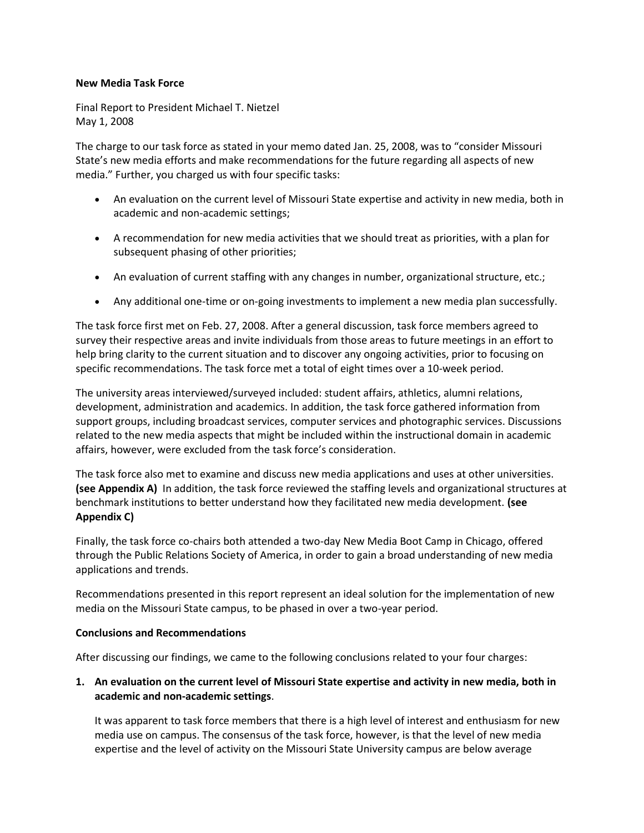### **New Media Task Force**

Final Report to President Michael T. Nietzel May 1, 2008

The charge to our task force as stated in your memo dated Jan. 25, 2008, was to "consider Missouri State's new media efforts and make recommendations for the future regarding all aspects of new media." Further, you charged us with four specific tasks:

- An evaluation on the current level of Missouri State expertise and activity in new media, both in academic and non-academic settings;
- A recommendation for new media activities that we should treat as priorities, with a plan for subsequent phasing of other priorities;
- An evaluation of current staffing with any changes in number, organizational structure, etc.;
- Any additional one-time or on-going investments to implement a new media plan successfully.

The task force first met on Feb. 27, 2008. After a general discussion, task force members agreed to survey their respective areas and invite individuals from those areas to future meetings in an effort to help bring clarity to the current situation and to discover any ongoing activities, prior to focusing on specific recommendations. The task force met a total of eight times over a 10-week period.

The university areas interviewed/surveyed included: student affairs, athletics, alumni relations, development, administration and academics. In addition, the task force gathered information from support groups, including broadcast services, computer services and photographic services. Discussions related to the new media aspects that might be included within the instructional domain in academic affairs, however, were excluded from the task force's consideration.

The task force also met to examine and discuss new media applications and uses at other universities. **(see Appendix A)** In addition, the task force reviewed the staffing levels and organizational structures at benchmark institutions to better understand how they facilitated new media development. **(see Appendix C)**

Finally, the task force co-chairs both attended a two-day New Media Boot Camp in Chicago, offered through the Public Relations Society of America, in order to gain a broad understanding of new media applications and trends.

Recommendations presented in this report represent an ideal solution for the implementation of new media on the Missouri State campus, to be phased in over a two-year period.

### **Conclusions and Recommendations**

After discussing our findings, we came to the following conclusions related to your four charges:

## **1. An evaluation on the current level of Missouri State expertise and activity in new media, both in academic and non-academic settings**.

It was apparent to task force members that there is a high level of interest and enthusiasm for new media use on campus. The consensus of the task force, however, is that the level of new media expertise and the level of activity on the Missouri State University campus are below average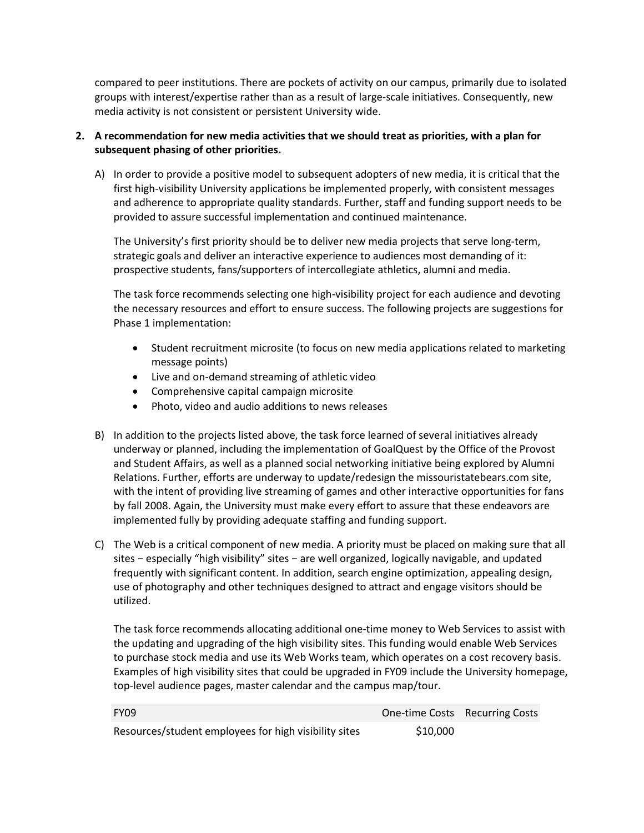compared to peer institutions. There are pockets of activity on our campus, primarily due to isolated groups with interest/expertise rather than as a result of large-scale initiatives. Consequently, new media activity is not consistent or persistent University wide.

# **2. A recommendation for new media activities that we should treat as priorities, with a plan for subsequent phasing of other priorities.**

A) In order to provide a positive model to subsequent adopters of new media, it is critical that the first high-visibility University applications be implemented properly, with consistent messages and adherence to appropriate quality standards. Further, staff and funding support needs to be provided to assure successful implementation and continued maintenance.

The University's first priority should be to deliver new media projects that serve long-term, strategic goals and deliver an interactive experience to audiences most demanding of it: prospective students, fans/supporters of intercollegiate athletics, alumni and media.

The task force recommends selecting one high-visibility project for each audience and devoting the necessary resources and effort to ensure success. The following projects are suggestions for Phase 1 implementation:

- Student recruitment microsite (to focus on new media applications related to marketing message points)
- Live and on-demand streaming of athletic video
- Comprehensive capital campaign microsite
- Photo, video and audio additions to news releases
- B) In addition to the projects listed above, the task force learned of several initiatives already underway or planned, including the implementation of GoalQuest by the Office of the Provost and Student Affairs, as well as a planned social networking initiative being explored by Alumni Relations. Further, efforts are underway to update/redesign the missouristatebears.com site, with the intent of providing live streaming of games and other interactive opportunities for fans by fall 2008. Again, the University must make every effort to assure that these endeavors are implemented fully by providing adequate staffing and funding support.
- C) The Web is a critical component of new media. A priority must be placed on making sure that all sites − especially "high visibility" sites − are well organized, logically navigable, and updated frequently with significant content. In addition, search engine optimization, appealing design, use of photography and other techniques designed to attract and engage visitors should be utilized.

The task force recommends allocating additional one-time money to Web Services to assist with the updating and upgrading of the high visibility sites. This funding would enable Web Services to purchase stock media and use its Web Works team, which operates on a cost recovery basis. Examples of high visibility sites that could be upgraded in FY09 include the University homepage, top-level audience pages, master calendar and the campus map/tour.

| <b>FY09</b>                                           |          | One-time Costs Recurring Costs |
|-------------------------------------------------------|----------|--------------------------------|
| Resources/student employees for high visibility sites | \$10,000 |                                |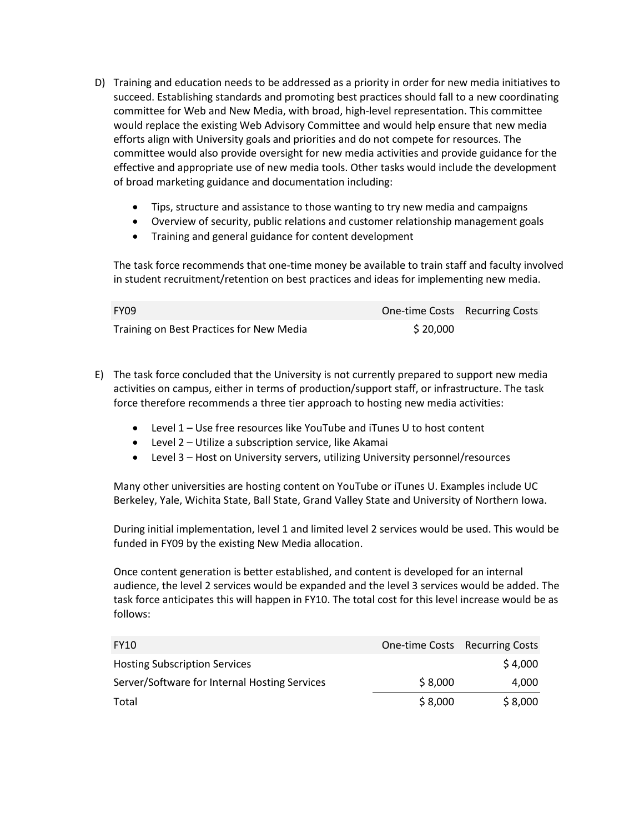- D) Training and education needs to be addressed as a priority in order for new media initiatives to succeed. Establishing standards and promoting best practices should fall to a new coordinating committee for Web and New Media, with broad, high-level representation. This committee would replace the existing Web Advisory Committee and would help ensure that new media efforts align with University goals and priorities and do not compete for resources. The committee would also provide oversight for new media activities and provide guidance for the effective and appropriate use of new media tools. Other tasks would include the development of broad marketing guidance and documentation including:
	- Tips, structure and assistance to those wanting to try new media and campaigns
	- Overview of security, public relations and customer relationship management goals
	- Training and general guidance for content development

The task force recommends that one-time money be available to train staff and faculty involved in student recruitment/retention on best practices and ideas for implementing new media.

| <b>FY09</b>                              | One-time Costs Recurring Costs |  |
|------------------------------------------|--------------------------------|--|
| Training on Best Practices for New Media | \$20,000                       |  |

- E) The task force concluded that the University is not currently prepared to support new media activities on campus, either in terms of production/support staff, or infrastructure. The task force therefore recommends a three tier approach to hosting new media activities:
	- Level 1 Use free resources like YouTube and iTunes U to host content
	- Level 2 Utilize a subscription service, like Akamai
	- Level 3 Host on University servers, utilizing University personnel/resources

Many other universities are hosting content on YouTube or iTunes U. Examples include UC Berkeley, Yale, Wichita State, Ball State, Grand Valley State and University of Northern Iowa.

During initial implementation, level 1 and limited level 2 services would be used. This would be funded in FY09 by the existing New Media allocation.

Once content generation is better established, and content is developed for an internal audience, the level 2 services would be expanded and the level 3 services would be added. The task force anticipates this will happen in FY10. The total cost for this level increase would be as follows:

| <b>FY10</b>                                   | One-time Costs Recurring Costs |         |
|-----------------------------------------------|--------------------------------|---------|
| <b>Hosting Subscription Services</b>          |                                | \$4,000 |
| Server/Software for Internal Hosting Services | \$8,000                        | 4,000   |
| Total                                         | \$8,000                        | \$8,000 |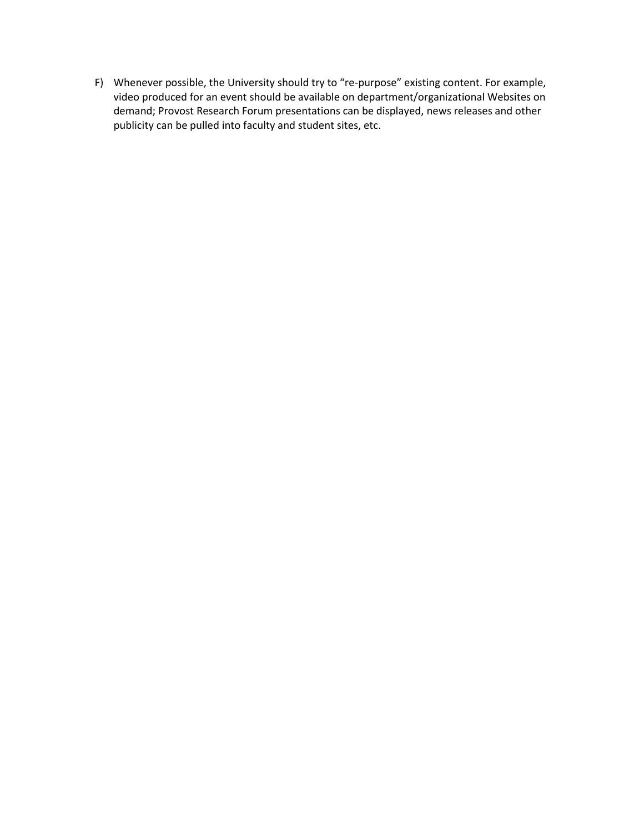F) Whenever possible, the University should try to "re-purpose" existing content. For example, video produced for an event should be available on department/organizational Websites on demand; Provost Research Forum presentations can be displayed, news releases and other publicity can be pulled into faculty and student sites, etc.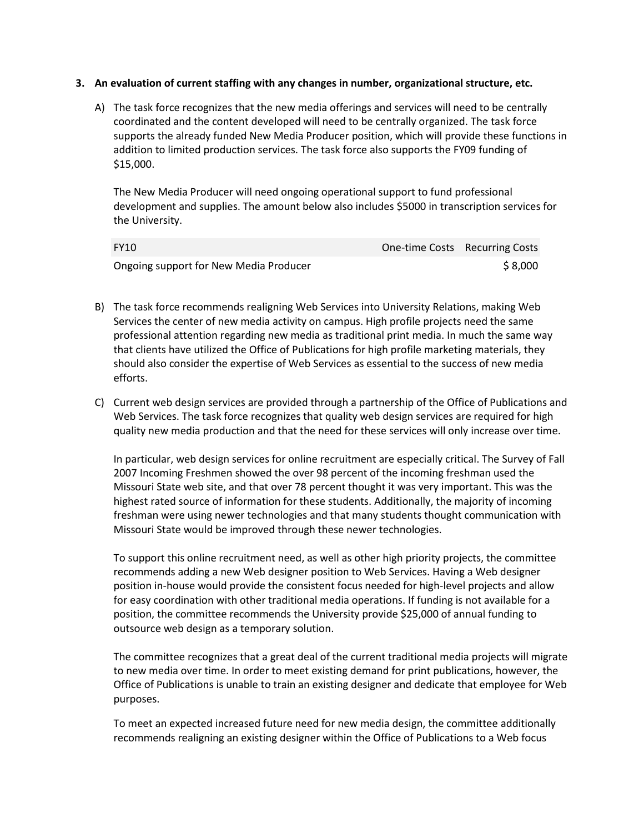### **3. An evaluation of current staffing with any changes in number, organizational structure, etc.**

A) The task force recognizes that the new media offerings and services will need to be centrally coordinated and the content developed will need to be centrally organized. The task force supports the already funded New Media Producer position, which will provide these functions in addition to limited production services. The task force also supports the FY09 funding of \$15,000.

The New Media Producer will need ongoing operational support to fund professional development and supplies. The amount below also includes \$5000 in transcription services for the University.

| <b>FY10</b>                            | One-time Costs Recurring Costs |
|----------------------------------------|--------------------------------|
| Ongoing support for New Media Producer | \$ 8,000                       |

- B) The task force recommends realigning Web Services into University Relations, making Web Services the center of new media activity on campus. High profile projects need the same professional attention regarding new media as traditional print media. In much the same way that clients have utilized the Office of Publications for high profile marketing materials, they should also consider the expertise of Web Services as essential to the success of new media efforts.
- C) Current web design services are provided through a partnership of the Office of Publications and Web Services. The task force recognizes that quality web design services are required for high quality new media production and that the need for these services will only increase over time.

In particular, web design services for online recruitment are especially critical. The Survey of Fall 2007 Incoming Freshmen showed the over 98 percent of the incoming freshman used the Missouri State web site, and that over 78 percent thought it was very important. This was the highest rated source of information for these students. Additionally, the majority of incoming freshman were using newer technologies and that many students thought communication with Missouri State would be improved through these newer technologies.

To support this online recruitment need, as well as other high priority projects, the committee recommends adding a new Web designer position to Web Services. Having a Web designer position in-house would provide the consistent focus needed for high-level projects and allow for easy coordination with other traditional media operations. If funding is not available for a position, the committee recommends the University provide \$25,000 of annual funding to outsource web design as a temporary solution.

The committee recognizes that a great deal of the current traditional media projects will migrate to new media over time. In order to meet existing demand for print publications, however, the Office of Publications is unable to train an existing designer and dedicate that employee for Web purposes.

To meet an expected increased future need for new media design, the committee additionally recommends realigning an existing designer within the Office of Publications to a Web focus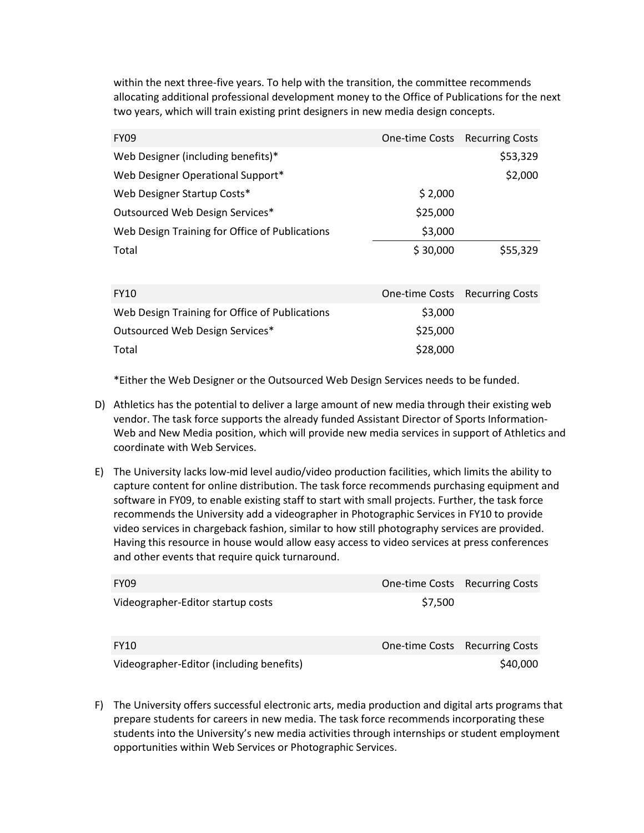within the next three-five years. To help with the transition, the committee recommends allocating additional professional development money to the Office of Publications for the next two years, which will train existing print designers in new media design concepts.

| <b>FY09</b>                                    |                | One-time Costs Recurring Costs |
|------------------------------------------------|----------------|--------------------------------|
| Web Designer (including benefits)*             |                | \$53,329                       |
| Web Designer Operational Support*              |                | \$2,000                        |
| Web Designer Startup Costs*                    | \$2,000        |                                |
| Outsourced Web Design Services*                | \$25,000       |                                |
| Web Design Training for Office of Publications | \$3,000        |                                |
| Total                                          | \$30,000       | \$55,329                       |
|                                                |                |                                |
| <b>FY10</b>                                    | One-time Costs | <b>Recurring Costs</b>         |
| Web Design Training for Office of Publications | \$3,000        |                                |
| Outsourced Web Design Services*                | \$25,000       |                                |
| Total                                          | \$28,000       |                                |

\*Either the Web Designer or the Outsourced Web Design Services needs to be funded.

- D) Athletics has the potential to deliver a large amount of new media through their existing web vendor. The task force supports the already funded Assistant Director of Sports Information-Web and New Media position, which will provide new media services in support of Athletics and coordinate with Web Services.
- E) The University lacks low-mid level audio/video production facilities, which limits the ability to capture content for online distribution. The task force recommends purchasing equipment and software in FY09, to enable existing staff to start with small projects. Further, the task force recommends the University add a videographer in Photographic Services in FY10 to provide video services in chargeback fashion, similar to how still photography services are provided. Having this resource in house would allow easy access to video services at press conferences and other events that require quick turnaround.

| <b>FY09</b>                              |         | One-time Costs Recurring Costs |
|------------------------------------------|---------|--------------------------------|
| Videographer-Editor startup costs        | \$7,500 |                                |
| <b>FY10</b>                              |         | One-time Costs Recurring Costs |
| Videographer-Editor (including benefits) |         | \$40,000                       |

F) The University offers successful electronic arts, media production and digital arts programs that prepare students for careers in new media. The task force recommends incorporating these students into the University's new media activities through internships or student employment opportunities within Web Services or Photographic Services.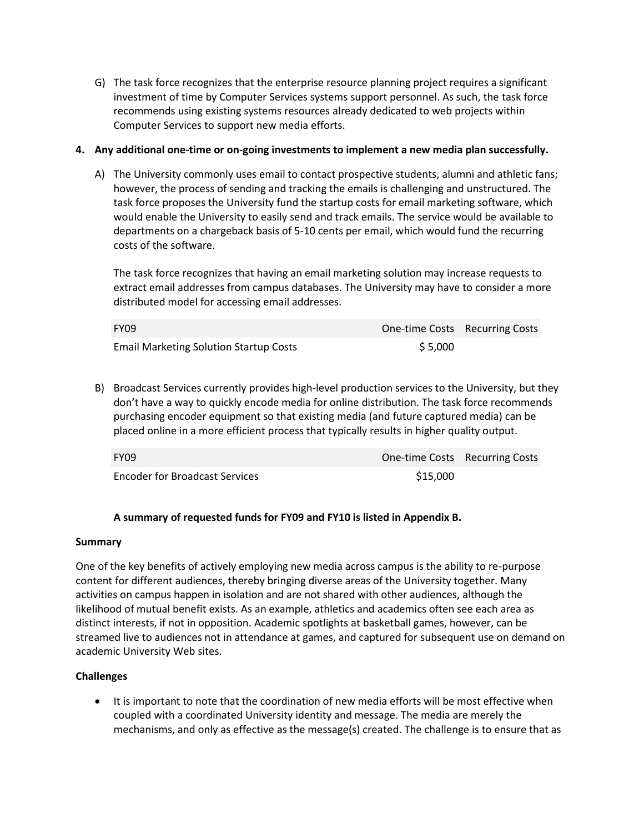G) The task force recognizes that the enterprise resource planning project requires a significant investment of time by Computer Services systems support personnel. As such, the task force recommends using existing systems resources already dedicated to web projects within Computer Services to support new media efforts.

## **4. Any additional one-time or on-going investments to implement a new media plan successfully.**

A) The University commonly uses email to contact prospective students, alumni and athletic fans; however, the process of sending and tracking the emails is challenging and unstructured. The task force proposes the University fund the startup costs for email marketing software, which would enable the University to easily send and track emails. The service would be available to departments on a chargeback basis of 5-10 cents per email, which would fund the recurring costs of the software.

The task force recognizes that having an email marketing solution may increase requests to extract email addresses from campus databases. The University may have to consider a more distributed model for accessing email addresses.

| <b>FY09</b>                                   | One-time Costs Recurring Costs |  |
|-----------------------------------------------|--------------------------------|--|
| <b>Email Marketing Solution Startup Costs</b> | \$5,000                        |  |

B) Broadcast Services currently provides high-level production services to the University, but they don't have a way to quickly encode media for online distribution. The task force recommends purchasing encoder equipment so that existing media (and future captured media) can be placed online in a more efficient process that typically results in higher quality output.

| <b>FY09</b>                           | <b>One-time Costs</b> Recurring Costs |  |
|---------------------------------------|---------------------------------------|--|
| <b>Encoder for Broadcast Services</b> | \$15,000                              |  |

# **A summary of requested funds for FY09 and FY10 is listed in Appendix B.**

### **Summary**

One of the key benefits of actively employing new media across campus is the ability to re-purpose content for different audiences, thereby bringing diverse areas of the University together. Many activities on campus happen in isolation and are not shared with other audiences, although the likelihood of mutual benefit exists. As an example, athletics and academics often see each area as distinct interests, if not in opposition. Academic spotlights at basketball games, however, can be streamed live to audiences not in attendance at games, and captured for subsequent use on demand on academic University Web sites.

# **Challenges**

• It is important to note that the coordination of new media efforts will be most effective when coupled with a coordinated University identity and message. The media are merely the mechanisms, and only as effective as the message(s) created. The challenge is to ensure that as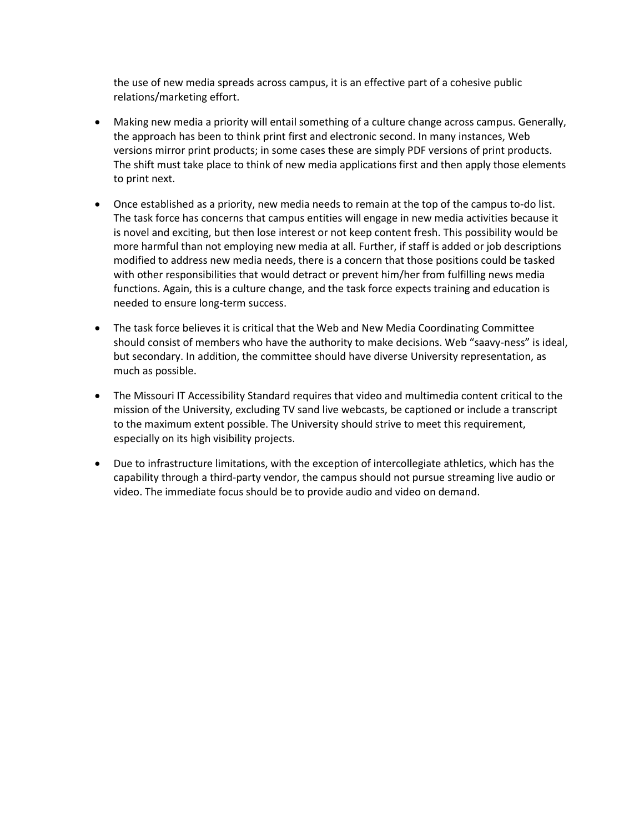the use of new media spreads across campus, it is an effective part of a cohesive public relations/marketing effort.

- Making new media a priority will entail something of a culture change across campus. Generally, the approach has been to think print first and electronic second. In many instances, Web versions mirror print products; in some cases these are simply PDF versions of print products. The shift must take place to think of new media applications first and then apply those elements to print next.
- Once established as a priority, new media needs to remain at the top of the campus to-do list. The task force has concerns that campus entities will engage in new media activities because it is novel and exciting, but then lose interest or not keep content fresh. This possibility would be more harmful than not employing new media at all. Further, if staff is added or job descriptions modified to address new media needs, there is a concern that those positions could be tasked with other responsibilities that would detract or prevent him/her from fulfilling news media functions. Again, this is a culture change, and the task force expects training and education is needed to ensure long-term success.
- The task force believes it is critical that the Web and New Media Coordinating Committee should consist of members who have the authority to make decisions. Web "saavy-ness" is ideal, but secondary. In addition, the committee should have diverse University representation, as much as possible.
- The Missouri IT Accessibility Standard requires that video and multimedia content critical to the mission of the University, excluding TV sand live webcasts, be captioned or include a transcript to the maximum extent possible. The University should strive to meet this requirement, especially on its high visibility projects.
- Due to infrastructure limitations, with the exception of intercollegiate athletics, which has the capability through a third-party vendor, the campus should not pursue streaming live audio or video. The immediate focus should be to provide audio and video on demand.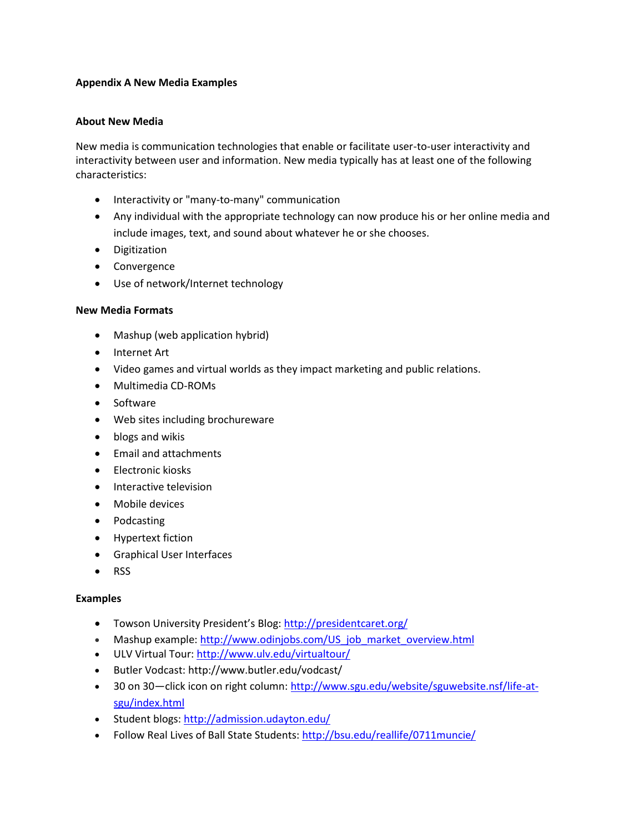## **Appendix A New Media Examples**

### **About New Media**

New media is communication technologies that enable or facilitate user-to-user interactivity and interactivity between user and information. New media typically has at least one of the following characteristics:

- Interactivity or "many-to-many" communication
- Any individual with the appropriate technology can now produce his or her online media and include images, text, and sound about whatever he or she chooses.
- Digitization
- Convergence
- Use of network/Internet technology

### **New Media Formats**

- Mashup (web application hybrid)
- Internet Art
- Video games and virtual worlds as they impact marketing and public relations.
- Multimedia CD-ROMs
- Software
- Web sites including brochureware
- blogs and wikis
- Email and attachments
- Electronic kiosks
- Interactive television
- Mobile devices
- Podcasting
- Hypertext fiction
- Graphical User Interfaces
- RSS

### **Examples**

- Towson University President's Blog:<http://presidentcaret.org/>
- Mashup example: [http://www.odinjobs.com/US\\_job\\_market\\_overview.html](http://www.odinjobs.com/US_job_market_overview.html)
- ULV Virtual Tour:<http://www.ulv.edu/virtualtour/>
- Butler Vodcast: http://www.butler.edu/vodcast/
- 30 on 30—click icon on right column: [http://www.sgu.edu/website/sguwebsite.nsf/life-at](http://www.sgu.edu/website/sguwebsite.nsf/life-at-sgu/index.html)[sgu/index.html](http://www.sgu.edu/website/sguwebsite.nsf/life-at-sgu/index.html)
- Student blogs[: http://admission.udayton.edu/](http://admission.udayton.edu/)
- Follow Real Lives of Ball State Students:<http://bsu.edu/reallife/0711muncie/>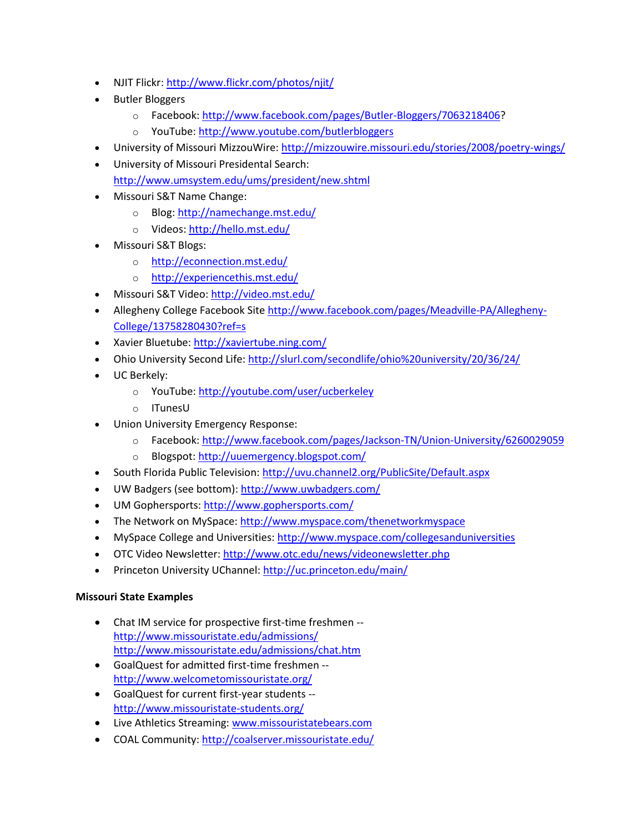- NJIT Flickr:<http://www.flickr.com/photos/njit/>
- Butler Bloggers
	- o Facebook: [http://www.facebook.com/pages/Butler-Bloggers/7063218406?](http://www.facebook.com/pages/Butler-Bloggers/7063218406)
	- o YouTube:<http://www.youtube.com/butlerbloggers>
- University of Missouri MizzouWire[: http://mizzouwire.missouri.edu/stories/2008/poetry-wings/](http://mizzouwire.missouri.edu/stories/2008/poetry-wings/)
- University of Missouri Presidental Search: <http://www.umsystem.edu/ums/president/new.shtml>
- Missouri S&T Name Change:
	- o Blog:<http://namechange.mst.edu/>
	- o Videos[: http://hello.mst.edu/](http://hello.mst.edu/)
- Missouri S&T Blogs:
	- o <http://econnection.mst.edu/>
	- o <http://experiencethis.mst.edu/>
- Missouri S&T Video[: http://video.mst.edu/](http://video.mst.edu/)
- Allegheny College Facebook Sit[e http://www.facebook.com/pages/Meadville-PA/Allegheny-](http://www.facebook.com/pages/Meadville-PA/Allegheny-College/13758280430?ref=s)[College/13758280430?ref=s](http://www.facebook.com/pages/Meadville-PA/Allegheny-College/13758280430?ref=s)
- Xavier Bluetube:<http://xaviertube.ning.com/>
- Ohio University Second Life:<http://slurl.com/secondlife/ohio%20university/20/36/24/>
- UC Berkely:
	- o YouTube:<http://youtube.com/user/ucberkeley>
	- o ITunesU
- Union University Emergency Response:
	- o Facebook:<http://www.facebook.com/pages/Jackson-TN/Union-University/6260029059>
	- o Blogspot[: http://uuemergency.blogspot.com/](http://uuemergency.blogspot.com/)
- South Florida Public Television[: http://uvu.channel2.org/PublicSite/Default.aspx](http://uvu.channel2.org/PublicSite/Default.aspx)
- UW Badgers (see bottom):<http://www.uwbadgers.com/>
- UM Gophersports[: http://www.gophersports.com/](http://www.gophersports.com/)
- The Network on MySpace[: http://www.myspace.com/thenetworkmyspace](http://www.myspace.com/thenetworkmyspace)
- MySpace College and Universities[: http://www.myspace.com/collegesanduniversities](http://www.myspace.com/collegesanduniversities)
- OTC Video Newsletter:<http://www.otc.edu/news/videonewsletter.php>
- Princeton University UChannel:<http://uc.princeton.edu/main/>

# **Missouri State Examples**

- Chat IM service for prospective first-time freshmen <http://www.missouristate.edu/admissions/> <http://www.missouristate.edu/admissions/chat.htm>
- GoalQuest for admitted first-time freshmen <http://www.welcometomissouristate.org/>
- GoalQuest for current first-year students <http://www.missouristate-students.org/>
- Live Athletics Streaming[: www.missouristatebears.com](http://www.missouristatebears.com/)
- COAL Community:<http://coalserver.missouristate.edu/>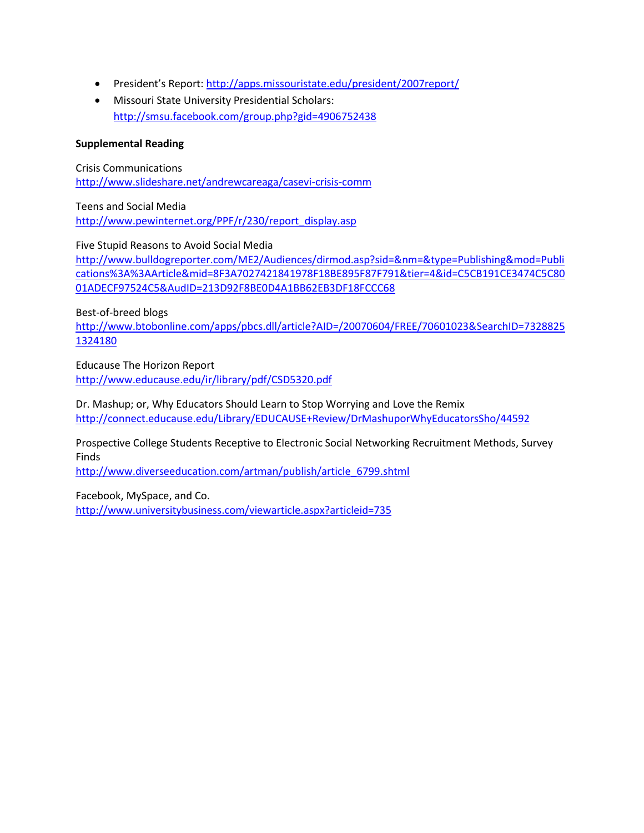- President's Report: <http://apps.missouristate.edu/president/2007report/>
- Missouri State University Presidential Scholars: <http://smsu.facebook.com/group.php?gid=4906752438>

### **Supplemental Reading**

Crisis Communications <http://www.slideshare.net/andrewcareaga/casevi-crisis-comm>

Teens and Social Media [http://www.pewinternet.org/PPF/r/230/report\\_display.asp](http://www.pewinternet.org/PPF/r/230/report_display.asp)

Five Stupid Reasons to Avoid Social Media [http://www.bulldogreporter.com/ME2/Audiences/dirmod.asp?sid=&nm=&type=Publishing&mod=Publi](http://www.bulldogreporter.com/ME2/Audiences/dirmod.asp?sid=&nm=&type=Publishing&mod=Publications%3A%3AArticle&mid=8F3A7027421841978F18BE895F87F791&tier=4&id=C5CB191CE3474C5C8001ADECF97524C5&AudID=213D92F8BE0D4A1BB62EB3DF18FCCC68)

[cations%3A%3AArticle&mid=8F3A7027421841978F18BE895F87F791&tier=4&id=C5CB191CE3474C5C80](http://www.bulldogreporter.com/ME2/Audiences/dirmod.asp?sid=&nm=&type=Publishing&mod=Publications%3A%3AArticle&mid=8F3A7027421841978F18BE895F87F791&tier=4&id=C5CB191CE3474C5C8001ADECF97524C5&AudID=213D92F8BE0D4A1BB62EB3DF18FCCC68) [01ADECF97524C5&AudID=213D92F8BE0D4A1BB62EB3DF18FCCC68](http://www.bulldogreporter.com/ME2/Audiences/dirmod.asp?sid=&nm=&type=Publishing&mod=Publications%3A%3AArticle&mid=8F3A7027421841978F18BE895F87F791&tier=4&id=C5CB191CE3474C5C8001ADECF97524C5&AudID=213D92F8BE0D4A1BB62EB3DF18FCCC68)

Best-of-breed blogs

[http://www.btobonline.com/apps/pbcs.dll/article?AID=/20070604/FREE/70601023&SearchID=7328825](http://www.btobonline.com/apps/pbcs.dll/article?AID=/20070604/FREE/70601023&SearchID=73288251324180) [1324180](http://www.btobonline.com/apps/pbcs.dll/article?AID=/20070604/FREE/70601023&SearchID=73288251324180)

Educause The Horizon Report <http://www.educause.edu/ir/library/pdf/CSD5320.pdf>

Dr. Mashup; or, Why Educators Should Learn to Stop Worrying and Love the Remix <http://connect.educause.edu/Library/EDUCAUSE+Review/DrMashuporWhyEducatorsSho/44592>

Prospective College Students Receptive to Electronic Social Networking Recruitment Methods, Survey Finds

[http://www.diverseeducation.com/artman/publish/article\\_6799.shtml](http://www.diverseeducation.com/artman/publish/article_6799.shtml)

Facebook, MySpace, and Co.

<http://www.universitybusiness.com/viewarticle.aspx?articleid=735>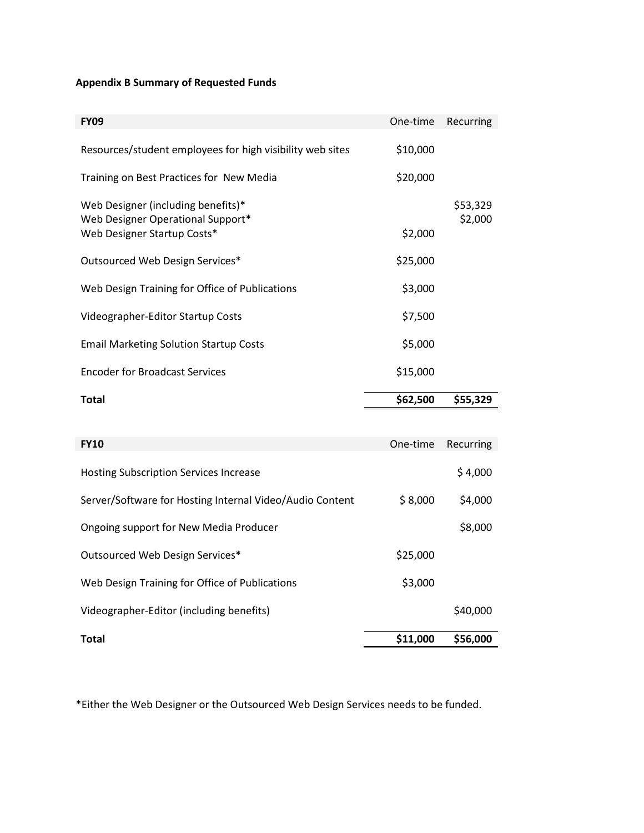# **Appendix B Summary of Requested Funds**

| <b>FY09</b>                                                             | One-time | Recurring           |
|-------------------------------------------------------------------------|----------|---------------------|
| Resources/student employees for high visibility web sites               | \$10,000 |                     |
| Training on Best Practices for New Media                                | \$20,000 |                     |
| Web Designer (including benefits)*<br>Web Designer Operational Support* |          | \$53,329<br>\$2,000 |
| Web Designer Startup Costs*                                             | \$2,000  |                     |
| Outsourced Web Design Services*                                         | \$25,000 |                     |
| Web Design Training for Office of Publications                          | \$3,000  |                     |
| Videographer-Editor Startup Costs                                       | \$7,500  |                     |
| <b>Email Marketing Solution Startup Costs</b>                           | \$5,000  |                     |
| <b>Encoder for Broadcast Services</b>                                   | \$15,000 |                     |
| <b>Total</b>                                                            | \$62,500 | \$55,329            |
|                                                                         |          |                     |
| <b>FY10</b>                                                             | One-time | Recurring           |
| <b>Hosting Subscription Services Increase</b>                           |          | \$4,000             |
| Server/Software for Hosting Internal Video/Audio Content                | \$8,000  | \$4,000             |
| Ongoing support for New Media Producer                                  |          | \$8,000             |
| Outsourced Web Design Services*                                         | \$25,000 |                     |

\*Either the Web Designer or the Outsourced Web Design Services needs to be funded.

Videographer-Editor (including benefits)  $$40,000$ 

**Total \$11,000 \$56,000**

Web Design Training for Office of Publications  $$3,000$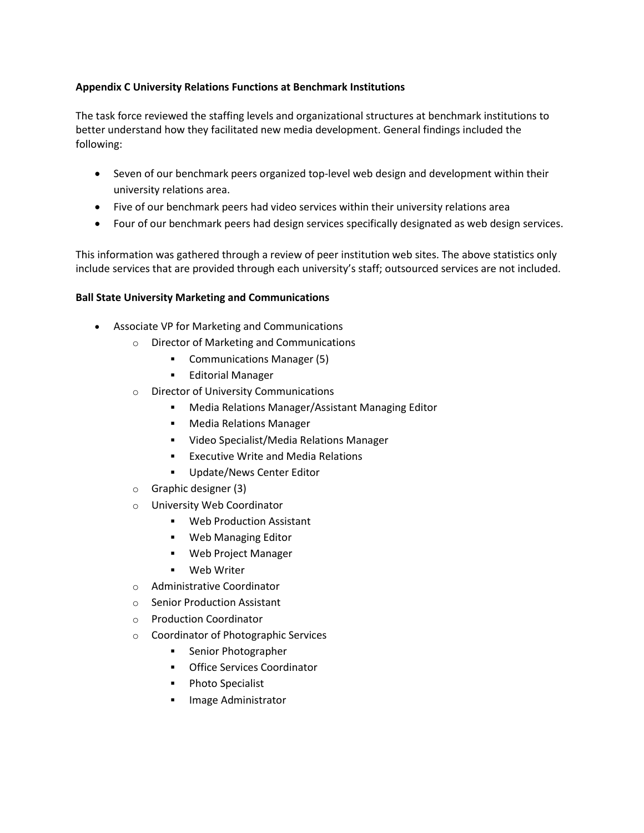# **Appendix C University Relations Functions at Benchmark Institutions**

The task force reviewed the staffing levels and organizational structures at benchmark institutions to better understand how they facilitated new media development. General findings included the following:

- Seven of our benchmark peers organized top-level web design and development within their university relations area.
- Five of our benchmark peers had video services within their university relations area
- Four of our benchmark peers had design services specifically designated as web design services.

This information was gathered through a review of peer institution web sites. The above statistics only include services that are provided through each university's staff; outsourced services are not included.

### **Ball State University Marketing and Communications**

- Associate VP for Marketing and Communications
	- o Director of Marketing and Communications
		- Communications Manager (5)
		- **Editorial Manager**
	- o Director of University Communications
		- Media Relations Manager/Assistant Managing Editor
		- **Media Relations Manager**
		- Video Specialist/Media Relations Manager
		- **Executive Write and Media Relations**
		- **Update/News Center Editor**
	- o Graphic designer (3)
	- o University Web Coordinator
		- Web Production Assistant
		- Web Managing Editor
		- Web Project Manager
		- Web Writer
	- o Administrative Coordinator
	- o Senior Production Assistant
	- o Production Coordinator
	- o Coordinator of Photographic Services
		- **Senior Photographer**
		- **•** Office Services Coordinator
		- Photo Specialist
		- **Image Administrator**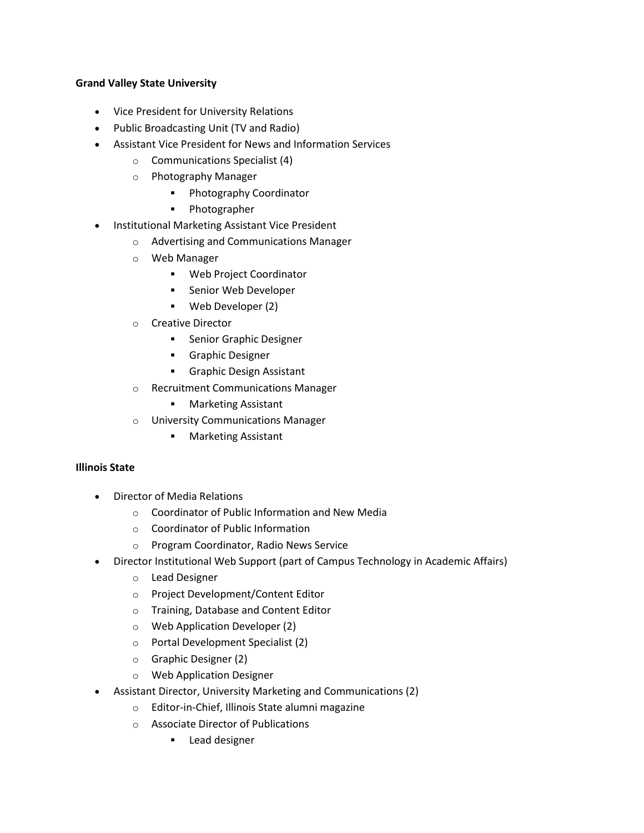## **Grand Valley State University**

- Vice President for University Relations
- Public Broadcasting Unit (TV and Radio)
- Assistant Vice President for News and Information Services
	- o Communications Specialist (4)
	- o Photography Manager
		- **Photography Coordinator**
		- **•** Photographer
- Institutional Marketing Assistant Vice President
	- o Advertising and Communications Manager
	- o Web Manager
		- Web Project Coordinator
		- **Senior Web Developer**
		- Web Developer (2)
	- o Creative Director
		- **Senior Graphic Designer**
		- **Graphic Designer**
		- **Graphic Design Assistant**
	- o Recruitment Communications Manager
		- Marketing Assistant
	- o University Communications Manager
		- Marketing Assistant

# **Illinois State**

- Director of Media Relations
	- o Coordinator of Public Information and New Media
	- o Coordinator of Public Information
	- o Program Coordinator, Radio News Service
- Director Institutional Web Support (part of Campus Technology in Academic Affairs)
	- o Lead Designer
	- o Project Development/Content Editor
	- o Training, Database and Content Editor
	- o Web Application Developer (2)
	- o Portal Development Specialist (2)
	- o Graphic Designer (2)
	- o Web Application Designer
	- Assistant Director, University Marketing and Communications (2)
		- o Editor-in-Chief, Illinois State alumni magazine
		- o Associate Director of Publications
			- **Lead designer**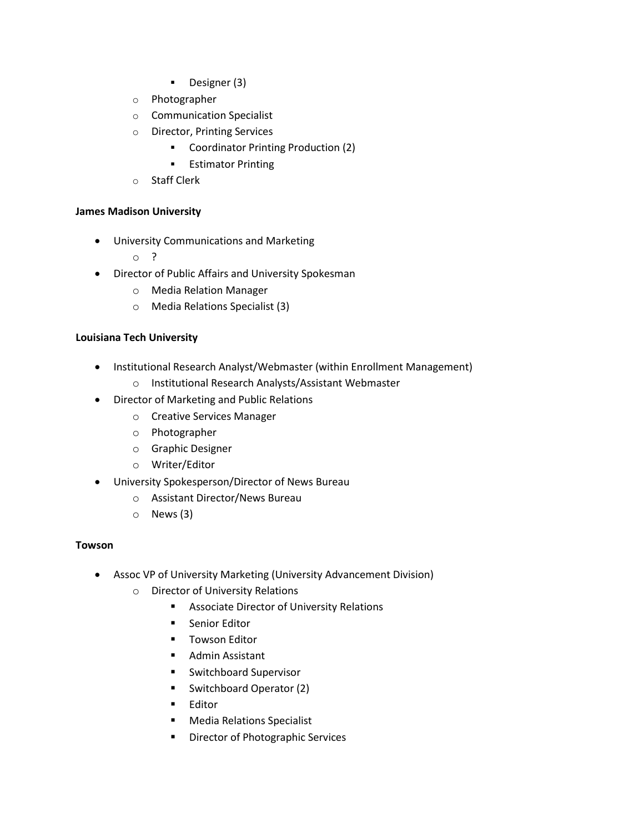- Designer (3)
- o Photographer
- o Communication Specialist
- o Director, Printing Services
	- Coordinator Printing Production (2)
	- **Estimator Printing**
- o Staff Clerk

## **James Madison University**

- University Communications and Marketing
	- o ?
- Director of Public Affairs and University Spokesman
	- o Media Relation Manager
	- o Media Relations Specialist (3)

## **Louisiana Tech University**

- Institutional Research Analyst/Webmaster (within Enrollment Management)
	- o Institutional Research Analysts/Assistant Webmaster
- Director of Marketing and Public Relations
	- o Creative Services Manager
	- o Photographer
	- o Graphic Designer
	- o Writer/Editor
- University Spokesperson/Director of News Bureau
	- o Assistant Director/News Bureau
	- o News (3)

### **Towson**

- Assoc VP of University Marketing (University Advancement Division)
	- o Director of University Relations
		- **Associate Director of University Relations**
		- **EXECUTE:** Senior Editor
		- **Towson Editor**
		- **Admin Assistant**
		- **Switchboard Supervisor**
		- Switchboard Operator (2)
		- **Editor**
		- **Media Relations Specialist**
		- **•** Director of Photographic Services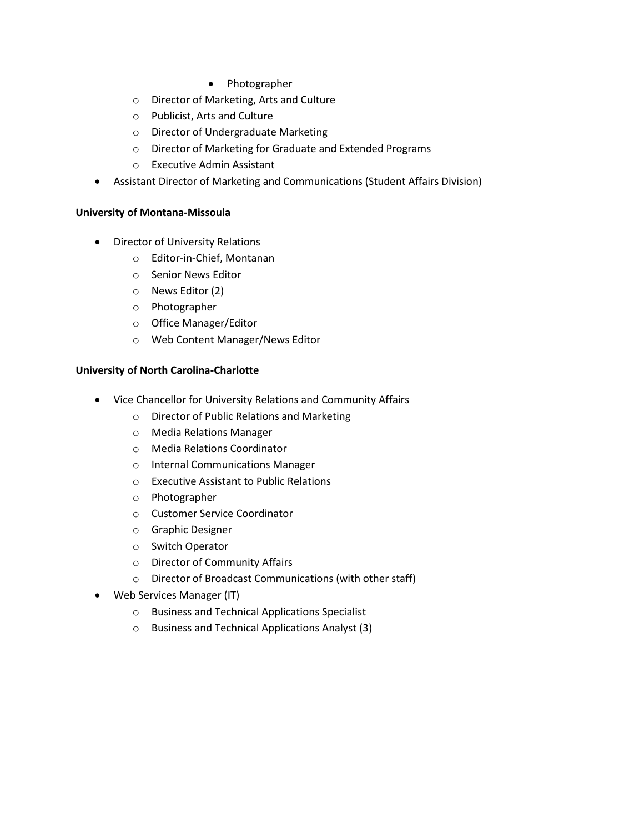- Photographer
- o Director of Marketing, Arts and Culture
- o Publicist, Arts and Culture
- o Director of Undergraduate Marketing
- o Director of Marketing for Graduate and Extended Programs
- o Executive Admin Assistant
- Assistant Director of Marketing and Communications (Student Affairs Division)

### **University of Montana-Missoula**

- Director of University Relations
	- o Editor-in-Chief, Montanan
	- o Senior News Editor
	- o News Editor (2)
	- o Photographer
	- o Office Manager/Editor
	- o Web Content Manager/News Editor

### **University of North Carolina-Charlotte**

- Vice Chancellor for University Relations and Community Affairs
	- o Director of Public Relations and Marketing
	- o Media Relations Manager
	- o Media Relations Coordinator
	- o Internal Communications Manager
	- o Executive Assistant to Public Relations
	- o Photographer
	- o Customer Service Coordinator
	- o Graphic Designer
	- o Switch Operator
	- o Director of Community Affairs
	- o Director of Broadcast Communications (with other staff)
- Web Services Manager (IT)
	- o Business and Technical Applications Specialist
	- o Business and Technical Applications Analyst (3)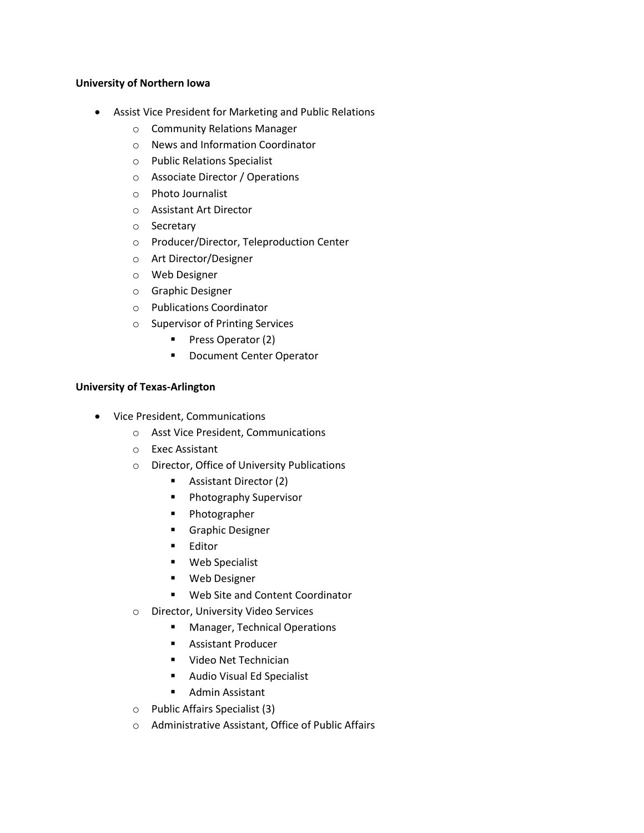### **University of Northern Iowa**

- Assist Vice President for Marketing and Public Relations
	- o Community Relations Manager
	- o News and Information Coordinator
	- o Public Relations Specialist
	- o Associate Director / Operations
	- o Photo Journalist
	- o Assistant Art Director
	- o Secretary
	- o Producer/Director, Teleproduction Center
	- o Art Director/Designer
	- o Web Designer
	- o Graphic Designer
	- o Publications Coordinator
	- o Supervisor of Printing Services
		- **Press Operator (2)**
		- **Document Center Operator**

## **University of Texas-Arlington**

- Vice President, Communications
	- o Asst Vice President, Communications
	- o Exec Assistant
	- o Director, Office of University Publications
		- **Assistant Director (2)**
		- **Photography Supervisor**
		- **Photographer**
		- **Graphic Designer**
		- **Editor**
		- Web Specialist
		- **•** Web Designer
		- **Web Site and Content Coordinator**
	- o Director, University Video Services
		- **Manager, Technical Operations**
		- **Assistant Producer**
		- Video Net Technician
		- Audio Visual Ed Specialist
		- **Admin Assistant**
	- o Public Affairs Specialist (3)
	- o Administrative Assistant, Office of Public Affairs